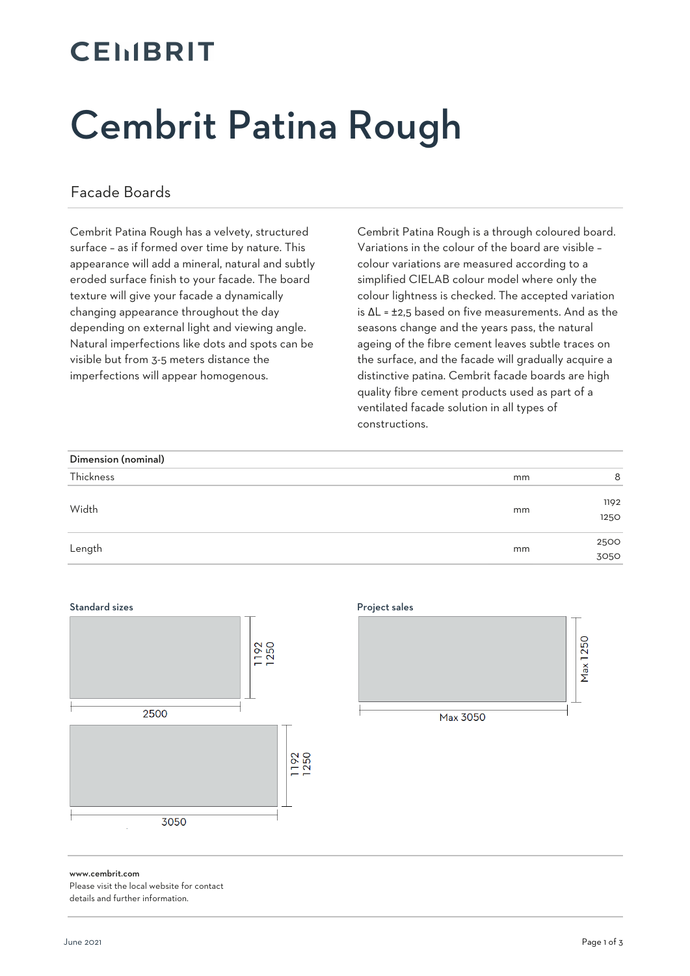## **CEMBRIT**

# Cembrit Patina Rough

### Facade Boards

Cembrit Patina Rough has a velvety, structured surface – as if formed over time by nature. This appearance will add a mineral, natural and subtly eroded surface finish to your facade. The board texture will give your facade a dynamically changing appearance throughout the day depending on external light and viewing angle. Natural imperfections like dots and spots can be visible but from 3-5 meters distance the imperfections will appear homogenous.

Cembrit Patina Rough is a through coloured board. Variations in the colour of the board are visible – colour variations are measured according to a simplified CIELAB colour model where only the colour lightness is checked. The accepted variation is ΔL = ±2,5 based on five measurements. And as the seasons change and the years pass, the natural ageing of the fibre cement leaves subtle traces on the surface, and the facade will gradually acquire a distinctive patina. Cembrit facade boards are high quality fibre cement products used as part of a ventilated facade solution in all types of constructions.

| Dimension (nominal) |    |              |
|---------------------|----|--------------|
| Thickness           | mm | 8            |
| Width               | mm | 1192<br>1250 |
| Length              | mm | 2500<br>3050 |

### Standard sizes **Project sales**





www.cembrit.com

Please visit the local website for contact details and further information.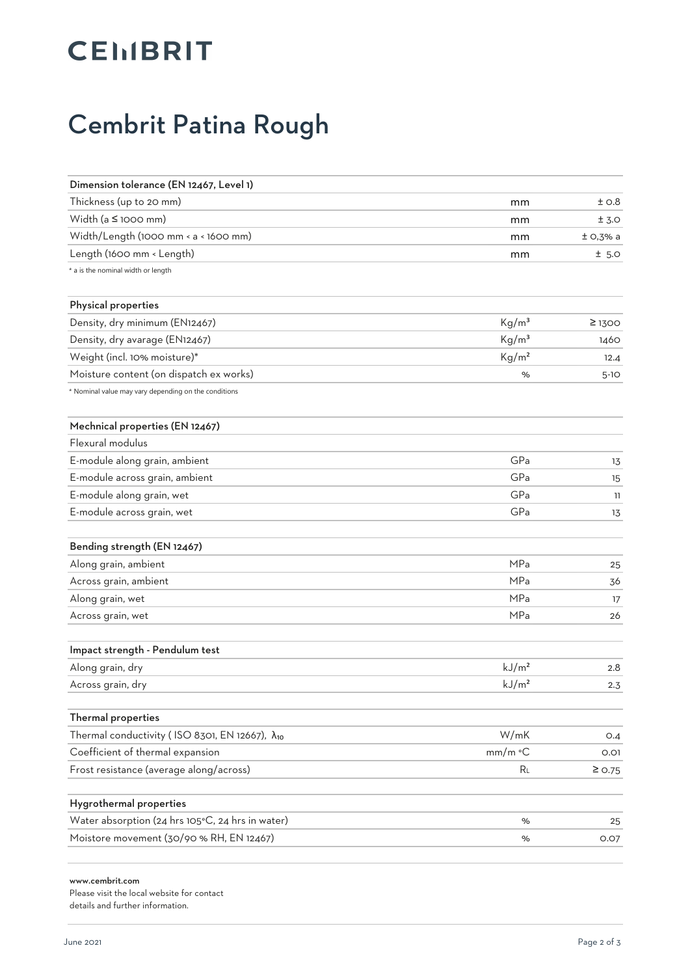## Cembrit Patina Rough

| Dimension tolerance (EN 12467, Level 1)                   |                   |             |
|-----------------------------------------------------------|-------------------|-------------|
| Thickness (up to 20 mm)                                   | mm                | ±0.8        |
| Width ( $a \leq 1000$ mm)                                 | mm                | ± 3.0       |
| Width/Length (1000 mm < a < 1600 mm)                      | mm                | $±$ O,3% a  |
| Length (1600 mm < Length)                                 | mm                | ± 5.0       |
| * a is the nominal width or length                        |                   |             |
| Physical properties                                       |                   |             |
| Density, dry minimum (EN12467)                            | Kg/m <sup>3</sup> | $\geq$ 1300 |
| Density, dry avarage (EN12467)                            | Kg/m <sup>3</sup> | 1460        |
| Weight (incl. 10% moisture)*                              | Kg/m <sup>2</sup> | 12.4        |
| Moisture content (on dispatch ex works)                   | %                 | $5-10$      |
| * Nominal value may vary depending on the conditions      |                   |             |
| Mechnical properties (EN 12467)                           |                   |             |
| Flexural modulus                                          |                   |             |
| E-module along grain, ambient                             | GPa               | 13          |
| E-module across grain, ambient                            | GPa               | 15          |
| E-module along grain, wet                                 | GPa               | 11          |
| E-module across grain, wet                                | GPa               | 13          |
| Bending strength (EN 12467)                               |                   |             |
| Along grain, ambient                                      | MPa               | 25          |
| Across grain, ambient                                     | MPa               | 36          |
| Along grain, wet                                          | MPa               | 17          |
| Across grain, wet                                         | MPa               | 26          |
| Impact strength - Pendulum test                           |                   |             |
| Along grain, dry                                          | kJ/m <sup>2</sup> | 2.8         |
| Across grain, dry                                         | kJ/m <sup>2</sup> | 2.3         |
|                                                           |                   |             |
| Thermal properties                                        |                   |             |
| Thermal conductivity (ISO 8301, EN 12667), $\lambda_{10}$ | W/mK              | O.4         |
| Coefficient of thermal expansion                          | mm/m °C           | 0.01        |
| Frost resistance (average along/across)                   | RL                | $\geq$ 0.75 |
| Hygrothermal properties                                   |                   |             |
| Water absorption (24 hrs 105°C, 24 hrs in water)          | %                 | 25          |
| Moistore movement (30/90 % RH, EN 12467)                  | $\%$              | 0.07        |
|                                                           |                   |             |

www.cembrit.com

Please visit the local website for contact details and further information.